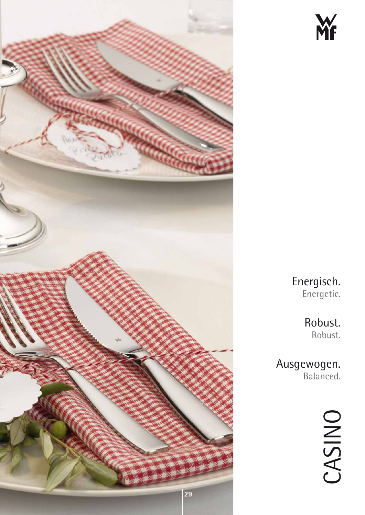



Energisch. Energetic.

> Robust. Robust.

Ausgewogen. Balanced.

CASINO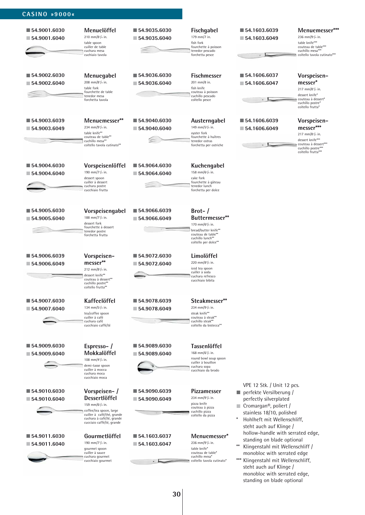| ■ 54.9001.6030<br>■ 54.9001.6040              | Menuelöffel<br>210 mm/8 <sup>1</sup> / <sub>4</sub> in.<br>table spoon<br>cuiller de table<br>cuchara mesa<br>cuchiaio tavola                                              | ■ 54.9035.6030<br>■ 54.9035.6040              | Fischgabel<br>179 mm/7 in.<br>fish fork<br>fourchette à poisson<br>tenedor pescado<br>forchetta pesce                                                 | ■ 54.1603.6039<br>154.1603.6049                                                                                                                                                                                                                                                                                                                                                                                                                                | Menuemesser***<br>236 mm/9 <sup>1</sup> /4 in.<br>table knife***<br>couteau de table***<br>cuchillo mesa***<br>coltello tavola cutinato***       |
|-----------------------------------------------|----------------------------------------------------------------------------------------------------------------------------------------------------------------------------|-----------------------------------------------|-------------------------------------------------------------------------------------------------------------------------------------------------------|----------------------------------------------------------------------------------------------------------------------------------------------------------------------------------------------------------------------------------------------------------------------------------------------------------------------------------------------------------------------------------------------------------------------------------------------------------------|--------------------------------------------------------------------------------------------------------------------------------------------------|
| ■ 54.9002.6030<br>$\blacksquare$ 54.9002.6040 | Menuegabel<br>208 mm/8 <sup>1</sup> / <sub>4</sub> in.<br>table fork<br>fourchette de table<br>tenedor mesa<br>forchetta tavola                                            | ■ 54.9036.6030<br>154.9036.6040               | Fischmesser<br>201 mm/8 in.<br>fish knife<br>couteau à poisson<br>cuchillo pescado<br>coltello pesce                                                  | ■ 54.1606.6037<br>$\blacksquare$ 54.1606.6047                                                                                                                                                                                                                                                                                                                                                                                                                  | Vorspeisen-<br>messer*<br>217 mm/8 <sup>1</sup> /2 in.<br>dessert knife*<br>couteau à dessert*<br>cuchillo postre*<br>coltello frutta*           |
| ■ 54.9003.6039<br>154.9003.6049               | Menuemesser**<br>234 mm/91/4 in.<br>table knife**<br>couteau de table**<br>cuchillo mesa**<br>coltello tavola cutinato**                                                   | ■ 54.9040.6030<br>■ 54.9040.6040              | Austerngabel<br>149 mm/53/4 in.<br>oyster fork<br>fourchette à huîtres<br>tenedor ostras<br>forchetta per ostriche                                    | ■ 54.1606.6039<br>■ 54.1606.6049                                                                                                                                                                                                                                                                                                                                                                                                                               | Vorspeisen-<br>messer***<br>217 mm/8 <sup>1</sup> /2 in.<br>dessert knife***<br>couteau à dessert***<br>cuchillo postre***<br>coltello frutta*** |
| ■ 54.9004.6030<br>■ 54.9004.6040              | Vorspeisenlöffel<br>190 mm/7 <sup>1</sup> / <sub>2</sub> in.<br>dessert spoon<br>cuiller à dessert<br>cuchara postre<br>cucchiaio frutta                                   | ■ 54.9064.6030<br>■ 54.9064.6040              | Kuchengabel<br>158 mm/6 <sup>1</sup> / <sub>4</sub> in.<br>cake fork<br>fourchette à gâteau<br>tenedor lunch<br>forchetta per dolce                   |                                                                                                                                                                                                                                                                                                                                                                                                                                                                |                                                                                                                                                  |
| ■ 54.9005.6030<br>$\blacksquare$ 54.9005.6040 | Vorspeisengabel<br>188 mm/7 <sup>1</sup> / <sub>2</sub> in.<br>dessert fork<br>fourchette à dessert<br>tenedor postre<br>forchetta frutta                                  | 54.9066.6039<br>$\blacksquare$ 54.9066.6049   | $Brot-$ /<br>Buttermesser**<br>170 mm/6 <sup>3</sup> /4 in.<br>bread/butter knife**<br>couteau de table**<br>cuchillo lunch**<br>coltello per dolce** |                                                                                                                                                                                                                                                                                                                                                                                                                                                                |                                                                                                                                                  |
| ■ 54.9006.6039<br>■ 54.9006.6049              | Vorspeisen-<br>messer**<br>212 mm/8 <sup>1</sup> /4 in.<br>dessert knife**<br>couteau à dessert**<br>cuchillo postre**<br>coltello frutta**                                | ■ 54.9072.6030<br>■ 54.9072.6040              | Limolöffel<br>220 mm/8 <sup>3</sup> /4 in.<br>iced tea spoon<br>cuiller à soda<br>cuchara refresco<br>cucchiaio bibita                                |                                                                                                                                                                                                                                                                                                                                                                                                                                                                |                                                                                                                                                  |
| ■ 54.9007.6030<br>$\blacksquare$ 54.9007.6040 | Kaffeelöffel<br>134 mm/5 <sup>1</sup> /4 in.<br>tea/coffee spoon<br>cuiller à café<br>cuchara café<br>cucchiaio caffé/té                                                   | ■ 54.9078.6039<br>$\blacksquare$ 54.9078.6049 | Steakmesser**<br>234 mm/9 <sup>1</sup> /4 in.<br>steak knife**<br>couteau à steak**<br>cuchillo steak**<br>coltello da bistecca**                     |                                                                                                                                                                                                                                                                                                                                                                                                                                                                |                                                                                                                                                  |
| ■ 54.9009.6030<br>$\blacksquare$ 54.9009.6040 | Espresso-/<br>Mokkalöffel<br>108 mm/4 <sup>1</sup> / <sub>4</sub> in.<br>demi-tasse spoon<br>cuiller à mocca<br>cuchara moca<br>cucchiaio moca                             | ■ 54.9089.6030<br>■ 54.9089.6040              | <b>Tassenlöffel</b><br>168 mm/6 <sup>1</sup> / <sub>2</sub> in.<br>round bowl soup spoon<br>cuiller à bouillon<br>cuchara sopa<br>cucchiaio da brodo  |                                                                                                                                                                                                                                                                                                                                                                                                                                                                |                                                                                                                                                  |
| ■ 54.9010.6030<br>■ 54.9010.6040              | Vorspeisen-/<br><b>Dessertlöffel</b><br>159 mm/61/4 in.<br>coffee/tea spoon, large<br>cuiller à café/thé, grande<br>cuchara à café/té, grande<br>cucciaio caffé/té, grande | ■ 54.9090.6039<br>■ 54.9090.6049              | Pizzamesser<br>234 mm/9 <sup>1</sup> / <sub>4</sub> in.<br>pizza knife<br>couteau à pizza<br>cuchillo pizza<br>coltello da pizza                      | VPE 12 Stk. / Unit 12 pcs.<br>perfekte Versilberung /<br>perfectly silverplated<br>Cromargan <sup>®</sup> , poliert /<br>stainless 18/10, polished<br>$\ast$<br>Hohlheft mit Wellenschliff,<br>steht auch auf Klinge /<br>hollow-handle with serrated edge,<br>standing on blade optional<br>Klingenstahl mit Wellenschliff /<br>monobloc with serrated edge<br>*** Klingenstahl mit Wellenschliff,<br>steht auch auf Klinge /<br>monobloc with serrated edge, |                                                                                                                                                  |
| ■ 54.9011.6030<br>$\blacksquare$ 54.9011.6040 | Gourmetlöffel<br>190 mm/7 <sup>1</sup> / <sub>2</sub> in.<br>gourmet spoon<br>cuiller à sauce<br>cuchara gourmet<br>cucchiaio gourmet                                      | ■ 54.1603.6037<br>$\blacksquare$ 54.1603.6047 | Menuemesser*<br>236 mm/9 <sup>1</sup> /4 in.<br>table knife*<br>couteau de table*<br>cuchillo mesa*<br>coltello tavola cutinato*                      |                                                                                                                                                                                                                                                                                                                                                                                                                                                                |                                                                                                                                                  |

**CASINO »9000«**

standing on blade optional